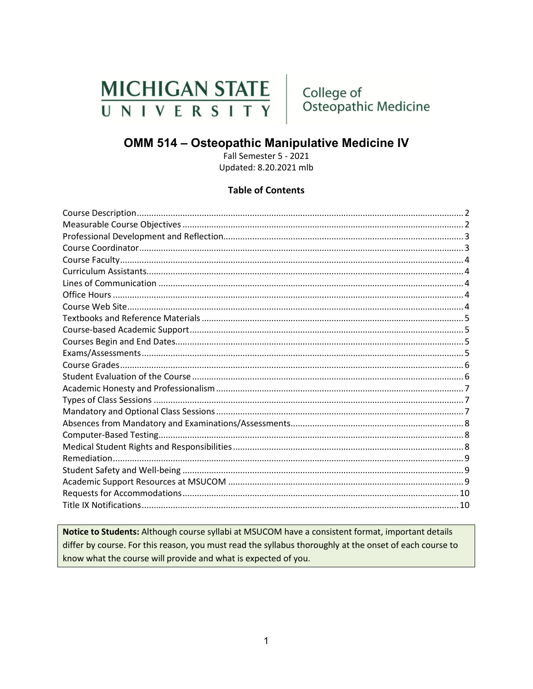# MICHIGAN STATE UNIVERSITY

College of Osteopathic Medicine

## OMM 514 - Osteopathic Manipulative Medicine IV

Fall Semester 5 - 2021 Updated: 8.20.2021 mlb

#### **Table of Contents**

Notice to Students: Although course syllabi at MSUCOM have a consistent format, important details differ by course. For this reason, you must read the syllabus thoroughly at the onset of each course to know what the course will provide and what is expected of you.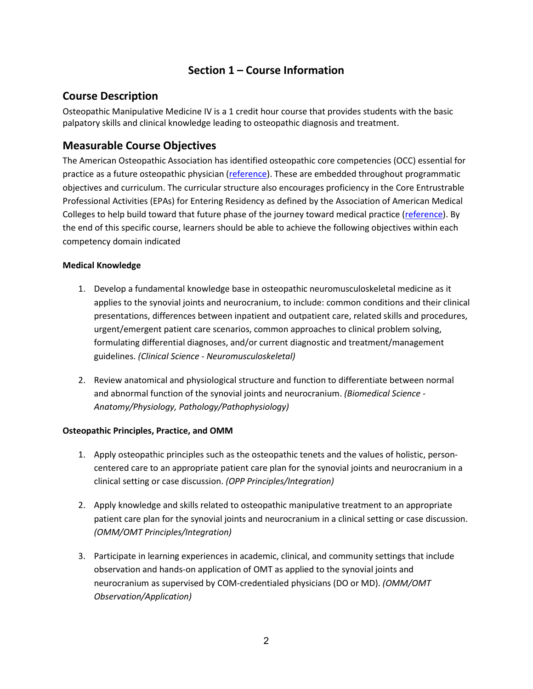## **Section 1 – Course Information**

#### <span id="page-1-0"></span>**Course Description**

Osteopathic Manipulative Medicine IV is a 1 credit hour course that provides students with the basic palpatory skills and clinical knowledge leading to osteopathic diagnosis and treatment.

#### <span id="page-1-1"></span>**Measurable Course Objectives**

The American Osteopathic Association has identified osteopathic core competencies (OCC) essential for practice as a future osteopathic physician [\(reference\)](https://www.aacom.org/docs/default-source/core-competencies/corecompetencyreport2012.pdf?sfvrsn=4). These are embedded throughout programmatic objectives and curriculum. The curricular structure also encourages proficiency in the Core Entrustrable Professional Activities (EPAs) for Entering Residency as defined by the Association of American Medical Colleges to help build toward that future phase of the journey toward medical practice [\(reference\)](https://store.aamc.org/downloadable/download/sample/sample_id/66/). By the end of this specific course, learners should be able to achieve the following objectives within each competency domain indicated

#### **Medical Knowledge**

- 1. Develop a fundamental knowledge base in osteopathic neuromusculoskeletal medicine as it applies to the synovial joints and neurocranium, to include: common conditions and their clinical presentations, differences between inpatient and outpatient care, related skills and procedures, urgent/emergent patient care scenarios, common approaches to clinical problem solving, formulating differential diagnoses, and/or current diagnostic and treatment/management guidelines. *(Clinical Science - Neuromusculoskeletal)*
- 2. Review anatomical and physiological structure and function to differentiate between normal and abnormal function of the synovial joints and neurocranium. *(Biomedical Science - Anatomy/Physiology, Pathology/Pathophysiology)*

#### **Osteopathic Principles, Practice, and OMM**

- 1. Apply osteopathic principles such as the osteopathic tenets and the values of holistic, personcentered care to an appropriate patient care plan for the synovial joints and neurocranium in a clinical setting or case discussion. *(OPP Principles/Integration)*
- 2. Apply knowledge and skills related to osteopathic manipulative treatment to an appropriate patient care plan for the synovial joints and neurocranium in a clinical setting or case discussion. *(OMM/OMT Principles/Integration)*
- 3. Participate in learning experiences in academic, clinical, and community settings that include observation and hands-on application of OMT as applied to the synovial joints and neurocranium as supervised by COM-credentialed physicians (DO or MD). *(OMM/OMT Observation/Application)*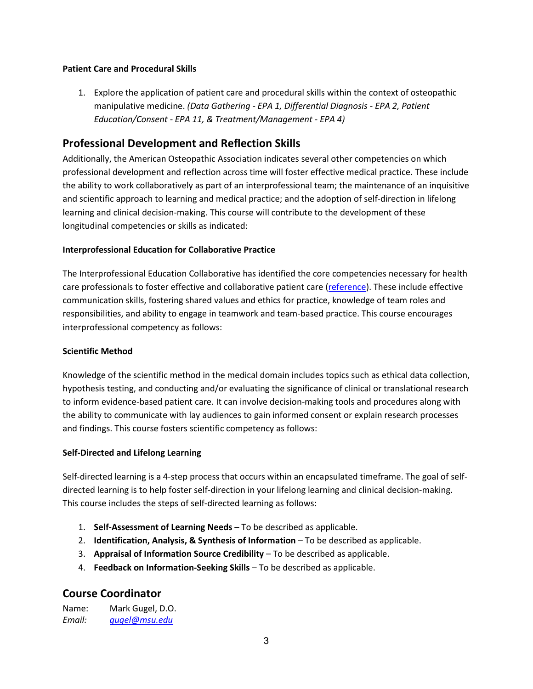#### **Patient Care and Procedural Skills**

1. Explore the application of patient care and procedural skills within the context of osteopathic manipulative medicine. *(Data Gathering - EPA 1, Differential Diagnosis - EPA 2, Patient Education/Consent - EPA 11, & Treatment/Management - EPA 4)*

#### <span id="page-2-0"></span>**Professional Development and Reflection Skills**

Additionally, the American Osteopathic Association indicates several other competencies on which professional development and reflection across time will foster effective medical practice. These include the ability to work collaboratively as part of an interprofessional team; the maintenance of an inquisitive and scientific approach to learning and medical practice; and the adoption of self-direction in lifelong learning and clinical decision-making. This course will contribute to the development of these longitudinal competencies or skills as indicated:

#### **Interprofessional Education for Collaborative Practice**

The Interprofessional Education Collaborative has identified the core competencies necessary for health care professionals to foster effective and collaborative patient care [\(reference\)](https://nebula.wsimg.com/2f68a39520b03336b41038c370497473?AccessKeyId=DC06780E69ED19E2B3A5&disposition=0&alloworigin=1). These include effective communication skills, fostering shared values and ethics for practice, knowledge of team roles and responsibilities, and ability to engage in teamwork and team-based practice. This course encourages interprofessional competency as follows:

#### **Scientific Method**

Knowledge of the scientific method in the medical domain includes topics such as ethical data collection, hypothesis testing, and conducting and/or evaluating the significance of clinical or translational research to inform evidence-based patient care. It can involve decision-making tools and procedures along with the ability to communicate with lay audiences to gain informed consent or explain research processes and findings. This course fosters scientific competency as follows:

#### **Self-Directed and Lifelong Learning**

Self-directed learning is a 4-step process that occurs within an encapsulated timeframe. The goal of selfdirected learning is to help foster self-direction in your lifelong learning and clinical decision-making. This course includes the steps of self-directed learning as follows:

- 1. **Self-Assessment of Learning Needs** To be described as applicable.
- 2. **Identification, Analysis, & Synthesis of Information** To be described as applicable.
- 3. **Appraisal of Information Source Credibility** To be described as applicable.
- 4. **Feedback on Information-Seeking Skills** To be described as applicable.

#### <span id="page-2-1"></span>**Course Coordinator**

Name: Mark Gugel, D.O. *Email: [gugel@msu.edu](mailto:gugel@msu.edu)*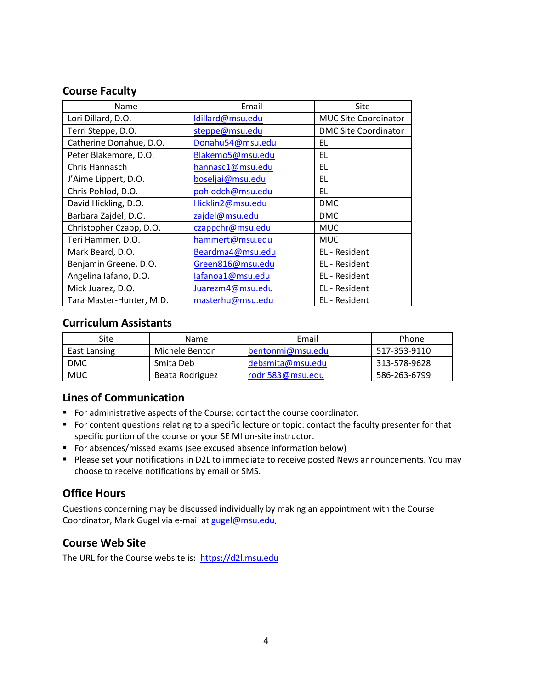#### <span id="page-3-0"></span>**Course Faculty**

| Name                     | Email            | Site                        |
|--------------------------|------------------|-----------------------------|
| Lori Dillard, D.O.       | Idillard@msu.edu | <b>MUC Site Coordinator</b> |
| Terri Steppe, D.O.       | steppe@msu.edu   | <b>DMC Site Coordinator</b> |
| Catherine Donahue, D.O.  | Donahu54@msu.edu | EL                          |
| Peter Blakemore, D.O.    | Blakemo5@msu.edu | EL                          |
| Chris Hannasch           | hannasc1@msu.edu | EL                          |
| J'Aime Lippert, D.O.     | boseljai@msu.edu | EL                          |
| Chris Pohlod, D.O.       | pohlodch@msu.edu | EL                          |
| David Hickling, D.O.     | Hicklin2@msu.edu | <b>DMC</b>                  |
| Barbara Zajdel, D.O.     | zajdel@msu.edu   | <b>DMC</b>                  |
| Christopher Czapp, D.O.  | czappchr@msu.edu | <b>MUC</b>                  |
| Teri Hammer, D.O.        | hammert@msu.edu  | <b>MUC</b>                  |
| Mark Beard, D.O.         | Beardma4@msu.edu | EL - Resident               |
| Benjamin Greene, D.O.    | Green816@msu.edu | EL - Resident               |
| Angelina Iafano, D.O.    | lafanoa1@msu.edu | EL - Resident               |
| Mick Juarez, D.O.        | Juarezm4@msu.edu | EL - Resident               |
| Tara Master-Hunter, M.D. | masterhu@msu.edu | EL - Resident               |

#### <span id="page-3-1"></span>**Curriculum Assistants**

| Site         | <b>Name</b>     | Email            | Phone        |
|--------------|-----------------|------------------|--------------|
| East Lansing | Michele Benton  | bentonmi@msu.edu | 517-353-9110 |
| <b>DMC</b>   | Smita Deb       | debsmita@msu.edu | 313-578-9628 |
| <b>MUC</b>   | Beata Rodriguez | rodri583@msu.edu | 586-263-6799 |

## <span id="page-3-2"></span>**Lines of Communication**

- For administrative aspects of the Course: contact the course coordinator.
- For content questions relating to a specific lecture or topic: contact the faculty presenter for that specific portion of the course or your SE MI on-site instructor.
- **F** For absences/missed exams (see excused absence information below)
- **Please set your notifications in D2L to immediate to receive posted News announcements. You may** choose to receive notifications by email or SMS.

## <span id="page-3-3"></span>**Office Hours**

Questions concerning may be discussed individually by making an appointment with the Course Coordinator, Mark Gugel via e-mail at [gugel@msu.edu.](mailto:gugel@msu.edu)

#### <span id="page-3-4"></span>**Course Web Site**

The URL for the Course website is: [https://d2l.msu.edu](https://d2l.msu.edu/)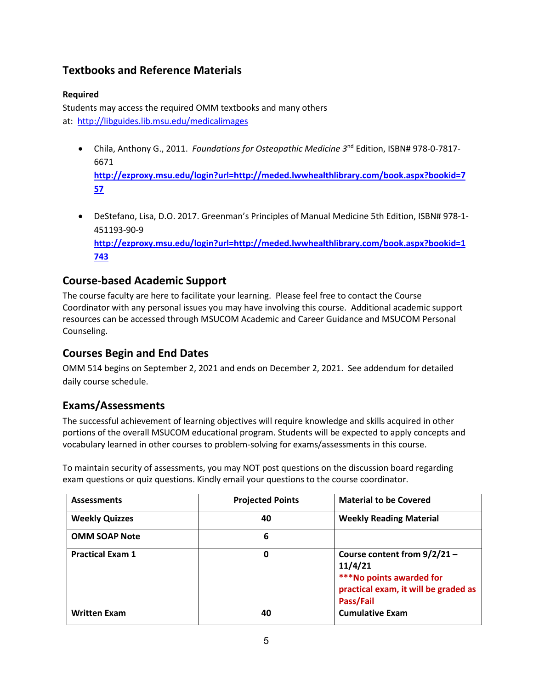## <span id="page-4-0"></span>**Textbooks and Reference Materials**

#### **Required**

Students may access the required OMM textbooks and many others at: <http://libguides.lib.msu.edu/medicalimages>

• Chila, Anthony G., 2011. *Foundations for Osteopathic Medicine 3*nd Edition, ISBN# 978-0-7817- 6671

**[http://ezproxy.msu.edu/login?url=http://meded.lwwhealthlibrary.com/book.aspx?bookid=7](http://ezproxy.msu.edu/login?url=http://meded.lwwhealthlibrary.com/book.aspx?bookid=757) [57](http://ezproxy.msu.edu/login?url=http://meded.lwwhealthlibrary.com/book.aspx?bookid=757)**

• DeStefano, Lisa, D.O. 2017. Greenman's Principles of Manual Medicine 5th Edition, ISBN# 978-1- 451193-90-9 **[http://ezproxy.msu.edu/login?url=http://meded.lwwhealthlibrary.com/book.aspx?bookid=1](http://ezproxy.msu.edu/login?url=http://meded.lwwhealthlibrary.com/book.aspx?bookid=1743) [743](http://ezproxy.msu.edu/login?url=http://meded.lwwhealthlibrary.com/book.aspx?bookid=1743)**

#### <span id="page-4-1"></span>**Course-based Academic Support**

The course faculty are here to facilitate your learning. Please feel free to contact the Course Coordinator with any personal issues you may have involving this course. Additional academic support resources can be accessed through MSUCOM Academic and Career Guidance and MSUCOM Personal Counseling.

## <span id="page-4-2"></span>**Courses Begin and End Dates**

OMM 514 begins on September 2, 2021 and ends on December 2, 2021. See addendum for detailed daily course schedule.

## <span id="page-4-3"></span>**Exams/Assessments**

The successful achievement of learning objectives will require knowledge and skills acquired in other portions of the overall MSUCOM educational program. Students will be expected to apply concepts and vocabulary learned in other courses to problem-solving for exams/assessments in this course.

To maintain security of assessments, you may NOT post questions on the discussion board regarding exam questions or quiz questions. Kindly email your questions to the course coordinator.

| <b>Assessments</b>      | <b>Projected Points</b> | <b>Material to be Covered</b>                                                                                              |
|-------------------------|-------------------------|----------------------------------------------------------------------------------------------------------------------------|
| <b>Weekly Quizzes</b>   | 40                      | <b>Weekly Reading Material</b>                                                                                             |
| <b>OMM SOAP Note</b>    | 6                       |                                                                                                                            |
| <b>Practical Exam 1</b> | 0                       | Course content from $9/2/21 -$<br>11/4/21<br>***No points awarded for<br>practical exam, it will be graded as<br>Pass/Fail |
| <b>Written Exam</b>     | 40                      | <b>Cumulative Exam</b>                                                                                                     |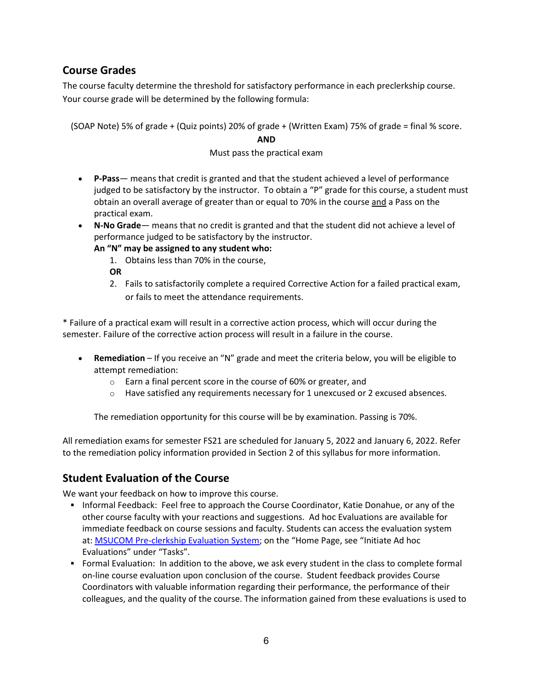#### <span id="page-5-0"></span>**Course Grades**

The course faculty determine the threshold for satisfactory performance in each preclerkship course. Your course grade will be determined by the following formula:

(SOAP Note) 5% of grade + (Quiz points) 20% of grade + (Written Exam) 75% of grade = final % score.

#### **AND**

#### Must pass the practical exam

- **P-Pass** means that credit is granted and that the student achieved a level of performance judged to be satisfactory by the instructor. To obtain a "P" grade for this course, a student must obtain an overall average of greater than or equal to 70% in the course and a Pass on the practical exam.
- **N-No Grade** means that no credit is granted and that the student did not achieve a level of performance judged to be satisfactory by the instructor.
	- **An "N" may be assigned to any student who:**
		- 1. Obtains less than 70% in the course,

**OR**

2. Fails to satisfactorily complete a required Corrective Action for a failed practical exam, or fails to meet the attendance requirements.

\* Failure of a practical exam will result in a corrective action process, which will occur during the semester. Failure of the corrective action process will result in a failure in the course.

- **Remediation**  If you receive an "N" grade and meet the criteria below, you will be eligible to attempt remediation:
	- o Earn a final percent score in the course of 60% or greater, and
	- $\circ$  Have satisfied any requirements necessary for 1 unexcused or 2 excused absences.

The remediation opportunity for this course will be by examination. Passing is 70%.

All remediation exams for semester FS21 are scheduled for January 5, 2022 and January 6, 2022. Refer to the remediation policy information provided in Section 2 of this syllabus for more information.

#### <span id="page-5-1"></span>**Student Evaluation of the Course**

We want your feedback on how to improve this course.

- **Informal Feedback: Feel free to approach the Course Coordinator, Katie Donahue, or any of the** other course faculty with your reactions and suggestions. Ad hoc Evaluations are available for immediate feedback on course sessions and faculty. Students can access the evaluation system at: [MSUCOM Pre-clerkship Evaluation System;](https://evalue.msu.edu/) on the "Home Page, see "Initiate Ad hoc Evaluations" under "Tasks".
- Formal Evaluation: In addition to the above, we ask every student in the class to complete formal on-line course evaluation upon conclusion of the course. Student feedback provides Course Coordinators with valuable information regarding their performance, the performance of their colleagues, and the quality of the course. The information gained from these evaluations is used to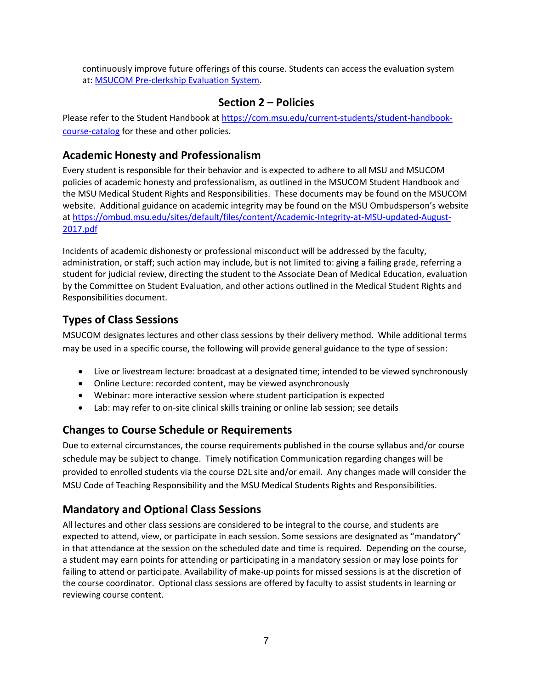continuously improve future offerings of this course. Students can access the evaluation system at: [MSUCOM Pre-clerkship Evaluation System.](https://evalue.msu.edu/)

#### **Section 2 – Policies**

Please refer to the Student Handbook at [https://com.msu.edu/current-students/student-handbook](https://com.msu.edu/current-students/student-handbook-course-catalog)[course-catalog](https://com.msu.edu/current-students/student-handbook-course-catalog) for these and other policies.

#### <span id="page-6-0"></span>**Academic Honesty and Professionalism**

Every student is responsible for their behavior and is expected to adhere to all MSU and MSUCOM policies of academic honesty and professionalism, as outlined in the MSUCOM Student Handbook and the MSU Medical Student Rights and Responsibilities. These documents may be found on the MSUCOM website. Additional guidance on academic integrity may be found on the MSU Ombudsperson's website at [https://ombud.msu.edu/sites/default/files/content/Academic-Integrity-at-MSU-updated-August-](https://ombud.msu.edu/sites/default/files/content/Academic-Integrity-at-MSU-updated-August-2017.pdf)[2017.pdf](https://ombud.msu.edu/sites/default/files/content/Academic-Integrity-at-MSU-updated-August-2017.pdf)

Incidents of academic dishonesty or professional misconduct will be addressed by the faculty, administration, or staff; such action may include, but is not limited to: giving a failing grade, referring a student for judicial review, directing the student to the Associate Dean of Medical Education, evaluation by the Committee on Student Evaluation, and other actions outlined in the Medical Student Rights and Responsibilities document.

#### <span id="page-6-1"></span>**Types of Class Sessions**

MSUCOM designates lectures and other class sessions by their delivery method. While additional terms may be used in a specific course, the following will provide general guidance to the type of session:

- Live or livestream lecture: broadcast at a designated time; intended to be viewed synchronously
- Online Lecture: recorded content, may be viewed asynchronously
- Webinar: more interactive session where student participation is expected
- Lab: may refer to on-site clinical skills training or online lab session; see details

#### **Changes to Course Schedule or Requirements**

Due to external circumstances, the course requirements published in the course syllabus and/or course schedule may be subject to change. Timely notification Communication regarding changes will be provided to enrolled students via the course D2L site and/or email. Any changes made will consider the MSU Code of Teaching Responsibility and the MSU Medical Students Rights and Responsibilities.

## <span id="page-6-2"></span>**Mandatory and Optional Class Sessions**

All lectures and other class sessions are considered to be integral to the course, and students are expected to attend, view, or participate in each session. Some sessions are designated as "mandatory" in that attendance at the session on the scheduled date and time is required. Depending on the course, a student may earn points for attending or participating in a mandatory session or may lose points for failing to attend or participate. Availability of make-up points for missed sessions is at the discretion of the course coordinator. Optional class sessions are offered by faculty to assist students in learning or reviewing course content.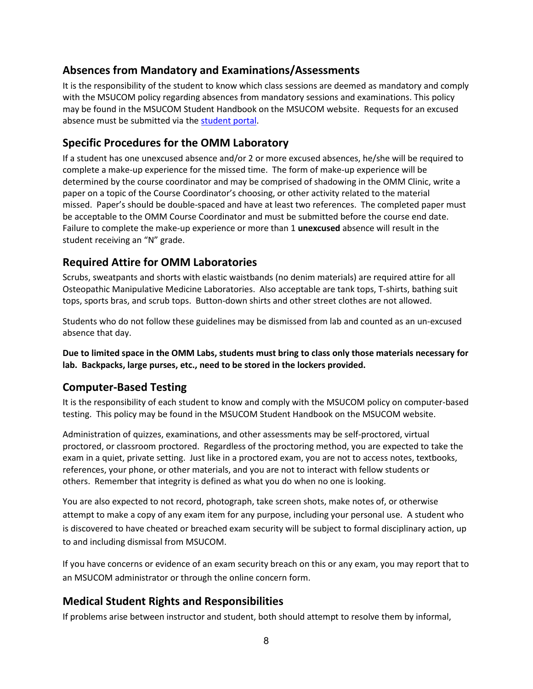## <span id="page-7-0"></span>**Absences from Mandatory and Examinations/Assessments**

It is the responsibility of the student to know which class sessions are deemed as mandatory and comply with the MSUCOM policy regarding absences from mandatory sessions and examinations. This policy may be found in the MSUCOM Student Handbook on the MSUCOM website. Requests for an excused absence must be submitted via the [student portal.](https://studentportal.com.msu.edu/)

#### **Specific Procedures for the OMM Laboratory**

If a student has one unexcused absence and/or 2 or more excused absences, he/she will be required to complete a make-up experience for the missed time. The form of make-up experience will be determined by the course coordinator and may be comprised of shadowing in the OMM Clinic, write a paper on a topic of the Course Coordinator's choosing, or other activity related to the material missed. Paper's should be double-spaced and have at least two references. The completed paper must be acceptable to the OMM Course Coordinator and must be submitted before the course end date. Failure to complete the make-up experience or more than 1 **unexcused** absence will result in the student receiving an "N" grade.

#### **Required Attire for OMM Laboratories**

Scrubs, sweatpants and shorts with elastic waistbands (no denim materials) are required attire for all Osteopathic Manipulative Medicine Laboratories. Also acceptable are tank tops, T-shirts, bathing suit tops, sports bras, and scrub tops. Button-down shirts and other street clothes are not allowed.

Students who do not follow these guidelines may be dismissed from lab and counted as an un-excused absence that day.

**Due to limited space in the OMM Labs, students must bring to class only those materials necessary for lab. Backpacks, large purses, etc., need to be stored in the lockers provided.**

#### <span id="page-7-1"></span>**Computer-Based Testing**

It is the responsibility of each student to know and comply with the MSUCOM policy on computer-based testing. This policy may be found in the MSUCOM Student Handbook on the MSUCOM website.

Administration of quizzes, examinations, and other assessments may be self-proctored, virtual proctored, or classroom proctored. Regardless of the proctoring method, you are expected to take the exam in a quiet, private setting. Just like in a proctored exam, you are not to access notes, textbooks, references, your phone, or other materials, and you are not to interact with fellow students or others. Remember that integrity is defined as what you do when no one is looking.

You are also expected to not record, photograph, take screen shots, make notes of, or otherwise attempt to make a copy of any exam item for any purpose, including your personal use. A student who is discovered to have cheated or breached exam security will be subject to formal disciplinary action, up to and including dismissal from MSUCOM.

If you have concerns or evidence of an exam security breach on this or any exam, you may report that to an MSUCOM administrator or through the online concern form.

#### <span id="page-7-2"></span>**Medical Student Rights and Responsibilities**

If problems arise between instructor and student, both should attempt to resolve them by informal,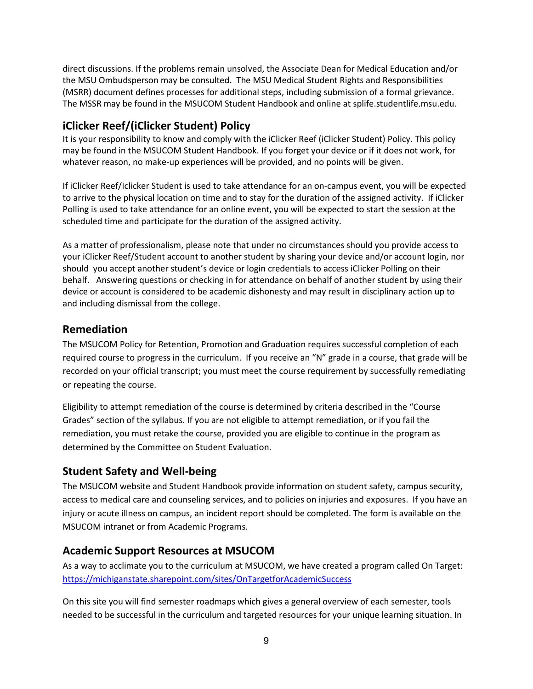direct discussions. If the problems remain unsolved, the Associate Dean for Medical Education and/or the MSU Ombudsperson may be consulted. The MSU Medical Student Rights and Responsibilities (MSRR) document defines processes for additional steps, including submission of a formal grievance. The MSSR may be found in the MSUCOM Student Handbook and online at splife.studentlife.msu.edu.

## **iClicker Reef/(iClicker Student) Policy**

It is your responsibility to know and comply with the iClicker Reef (iClicker Student) Policy. This policy may be found in the MSUCOM Student Handbook. If you forget your device or if it does not work, for whatever reason, no make-up experiences will be provided, and no points will be given.

If iClicker Reef/Iclicker Student is used to take attendance for an on-campus event, you will be expected to arrive to the physical location on time and to stay for the duration of the assigned activity. If iClicker Polling is used to take attendance for an online event, you will be expected to start the session at the scheduled time and participate for the duration of the assigned activity.

As a matter of professionalism, please note that under no circumstances should you provide access to your iClicker Reef/Student account to another student by sharing your device and/or account login, nor should you accept another student's device or login credentials to access iClicker Polling on their behalf. Answering questions or checking in for attendance on behalf of another student by using their device or account is considered to be academic dishonesty and may result in disciplinary action up to and including dismissal from the college.

#### <span id="page-8-0"></span>**Remediation**

The MSUCOM Policy for Retention, Promotion and Graduation requires successful completion of each required course to progress in the curriculum. If you receive an "N" grade in a course, that grade will be recorded on your official transcript; you must meet the course requirement by successfully remediating or repeating the course.

Eligibility to attempt remediation of the course is determined by criteria described in the "Course Grades" section of the syllabus. If you are not eligible to attempt remediation, or if you fail the remediation, you must retake the course, provided you are eligible to continue in the program as determined by the Committee on Student Evaluation.

## <span id="page-8-1"></span>**Student Safety and Well-being**

The MSUCOM website and Student Handbook provide information on student safety, campus security, access to medical care and counseling services, and to policies on injuries and exposures. If you have an injury or acute illness on campus, an incident report should be completed. The form is available on the MSUCOM intranet or from Academic Programs.

#### <span id="page-8-2"></span>**Academic Support Resources at MSUCOM**

As a way to acclimate you to the curriculum at MSUCOM, we have created a program called On Target: <https://michiganstate.sharepoint.com/sites/OnTargetforAcademicSuccess>

On this site you will find semester roadmaps which gives a general overview of each semester, tools needed to be successful in the curriculum and targeted resources for your unique learning situation. In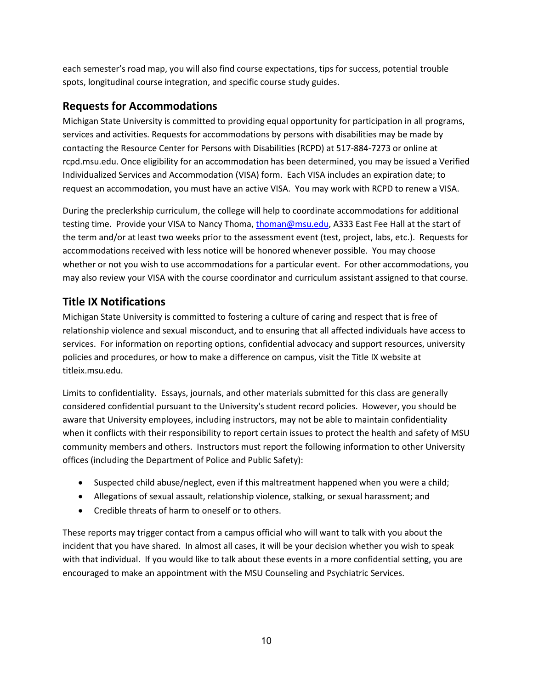each semester's road map, you will also find course expectations, tips for success, potential trouble spots, longitudinal course integration, and specific course study guides.

### <span id="page-9-0"></span>**Requests for Accommodations**

Michigan State University is committed to providing equal opportunity for participation in all programs, services and activities. Requests for accommodations by persons with disabilities may be made by contacting the Resource Center for Persons with Disabilities (RCPD) at 517-884-7273 or online at rcpd.msu.edu. Once eligibility for an accommodation has been determined, you may be issued a Verified Individualized Services and Accommodation (VISA) form. Each VISA includes an expiration date; to request an accommodation, you must have an active VISA. You may work with RCPD to renew a VISA.

During the preclerkship curriculum, the college will help to coordinate accommodations for additional testing time. Provide your VISA to Nancy Thoma, [thoman@msu.edu,](mailto:thoman@msu.edu) A333 East Fee Hall at the start of the term and/or at least two weeks prior to the assessment event (test, project, labs, etc.). Requests for accommodations received with less notice will be honored whenever possible. You may choose whether or not you wish to use accommodations for a particular event. For other accommodations, you may also review your VISA with the course coordinator and curriculum assistant assigned to that course.

## <span id="page-9-1"></span>**Title IX Notifications**

Michigan State University is committed to fostering a culture of caring and respect that is free of relationship violence and sexual misconduct, and to ensuring that all affected individuals have access to services. For information on reporting options, confidential advocacy and support resources, university policies and procedures, or how to make a difference on campus, visit the Title IX website at titleix.msu.edu.

Limits to confidentiality. Essays, journals, and other materials submitted for this class are generally considered confidential pursuant to the University's student record policies. However, you should be aware that University employees, including instructors, may not be able to maintain confidentiality when it conflicts with their responsibility to report certain issues to protect the health and safety of MSU community members and others. Instructors must report the following information to other University offices (including the Department of Police and Public Safety):

- Suspected child abuse/neglect, even if this maltreatment happened when you were a child;
- Allegations of sexual assault, relationship violence, stalking, or sexual harassment; and
- Credible threats of harm to oneself or to others.

These reports may trigger contact from a campus official who will want to talk with you about the incident that you have shared. In almost all cases, it will be your decision whether you wish to speak with that individual. If you would like to talk about these events in a more confidential setting, you are encouraged to make an appointment with the MSU Counseling and Psychiatric Services.